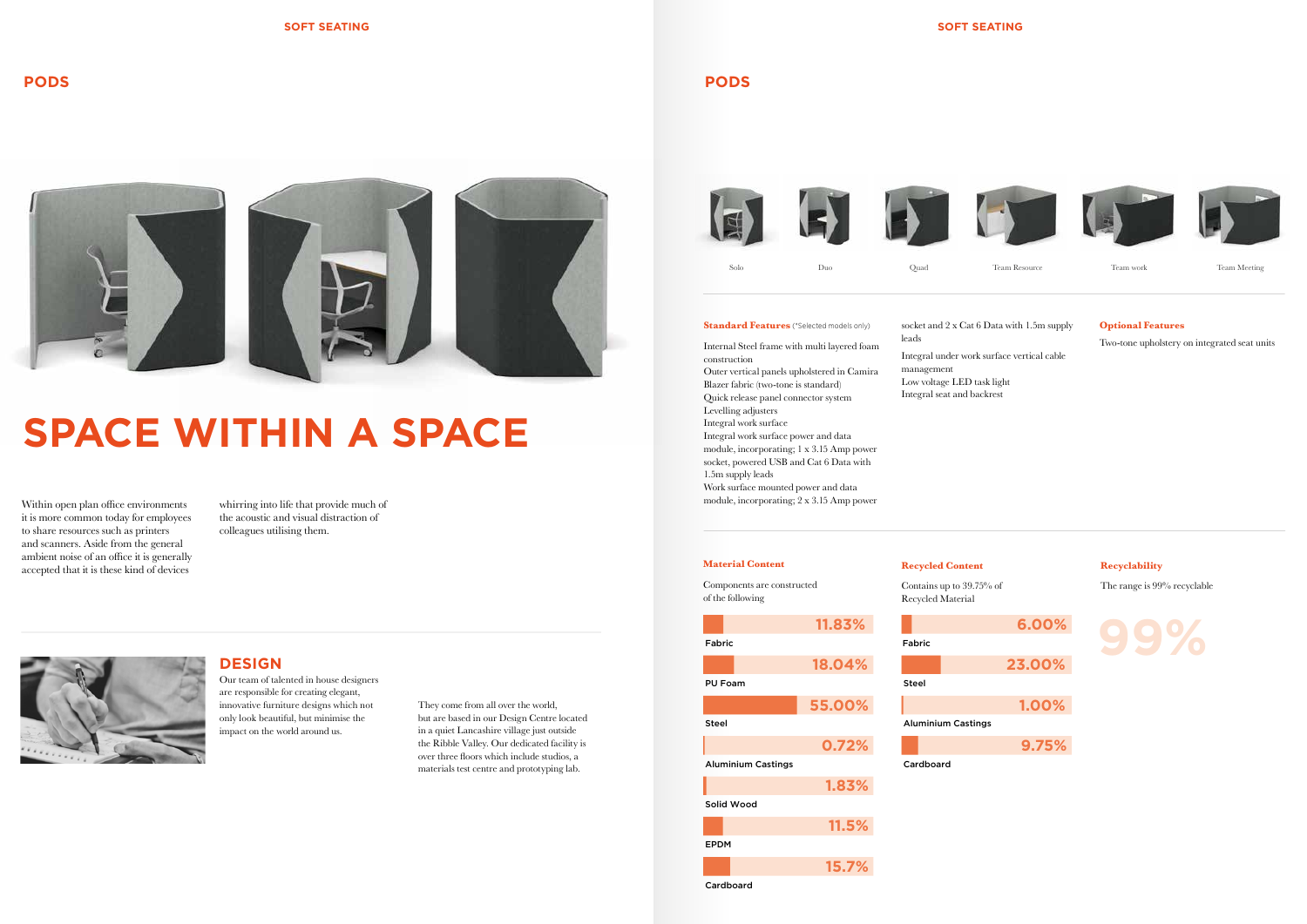# **SPACE WITHIN A SPACE**

Within open plan office environments it is more common today for employees to share resources such as printers and scanners. Aside from the general ambient noise of an office it is generally accepted that it is these kind of devices

whirring into life that provide much of the acoustic and visual distraction of colleagues utilising them.



# **PODS**

### **Recycled Content**

Contains up to 39.75% of Recycled Material

**Recyclability**

The range is 99% recyclable



# **Material Content**

Components are constructed of the following

They come from all over the world, but are based in our Design Centre located in a quiet Lancashire village just outside the Ribble Valley. Our dedicated facility is over three foors which include studios, a materials test centre and prototyping lab.



module, incorporating; 1 x 3.15 Amp power socket, powered USB and Cat 6 Data with 1.5m supply leads

Work surface mounted power and data module, incorporating;  $2 \times 3.15$  Amp power

# **DESIGN**

Our team of talented in house designers are responsible for creating elegant, innovative furniture designs which not only look beautiful, but minimise the impact on the world around us.

**18.04%**





**55.00%**

EPDM

Cardboard









socket and 2 x Cat 6 Data with 1.5m supply

**1.83%**

**11.5%**

**15.7%**

Fabric

**81.011.83%**

Internal Steel frame with multi layered foam construction Outer vertical panels upholstered in Camira Blazer fabric (two-tone is standard) Quick release panel connector system Levelling adjusters Integral work surface Integral work surface power and data

# leads

Integral under work surface vertical cable management Low voltage LED task light Integral seat and backrest

# **Optional Features**

Two-tone upholstery on integrated seat units



#### **Standard Features** (\*Selected models only)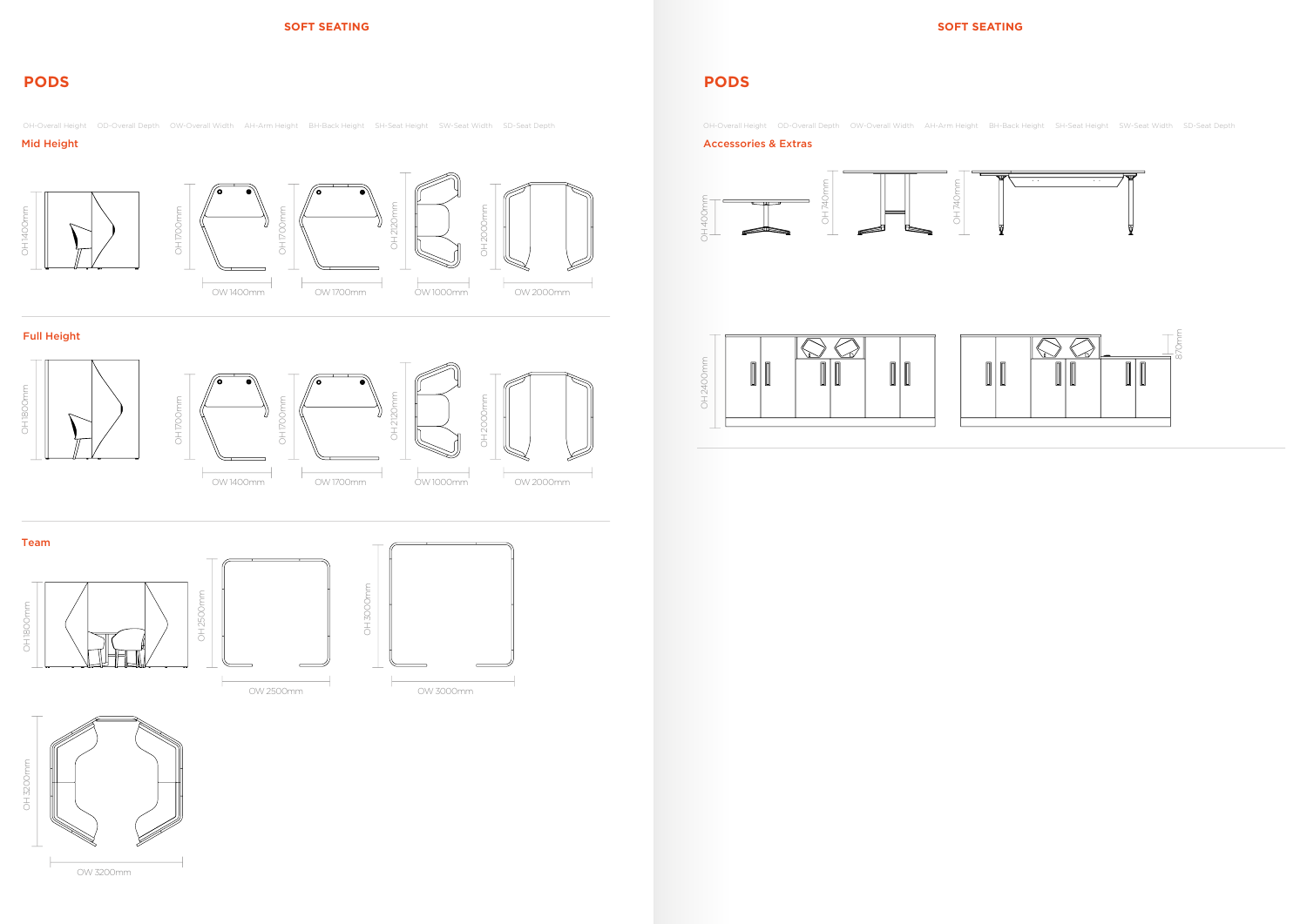# **SOFT SEATING SOFT SEATING**

### Mid Height Accessories & Extras

# Full Height

# **PODS PODS**

OH-Overall Height OD-Overall Depth OW-Overall Width AH-Arm Height BH-Back Height SH-Seat Height SW-Seat Width SD-Seat Depth OH-Overall Height OD-Overall Height OD-Overall Width AH-Arm Height BH-Back Height SW-Seat Depth













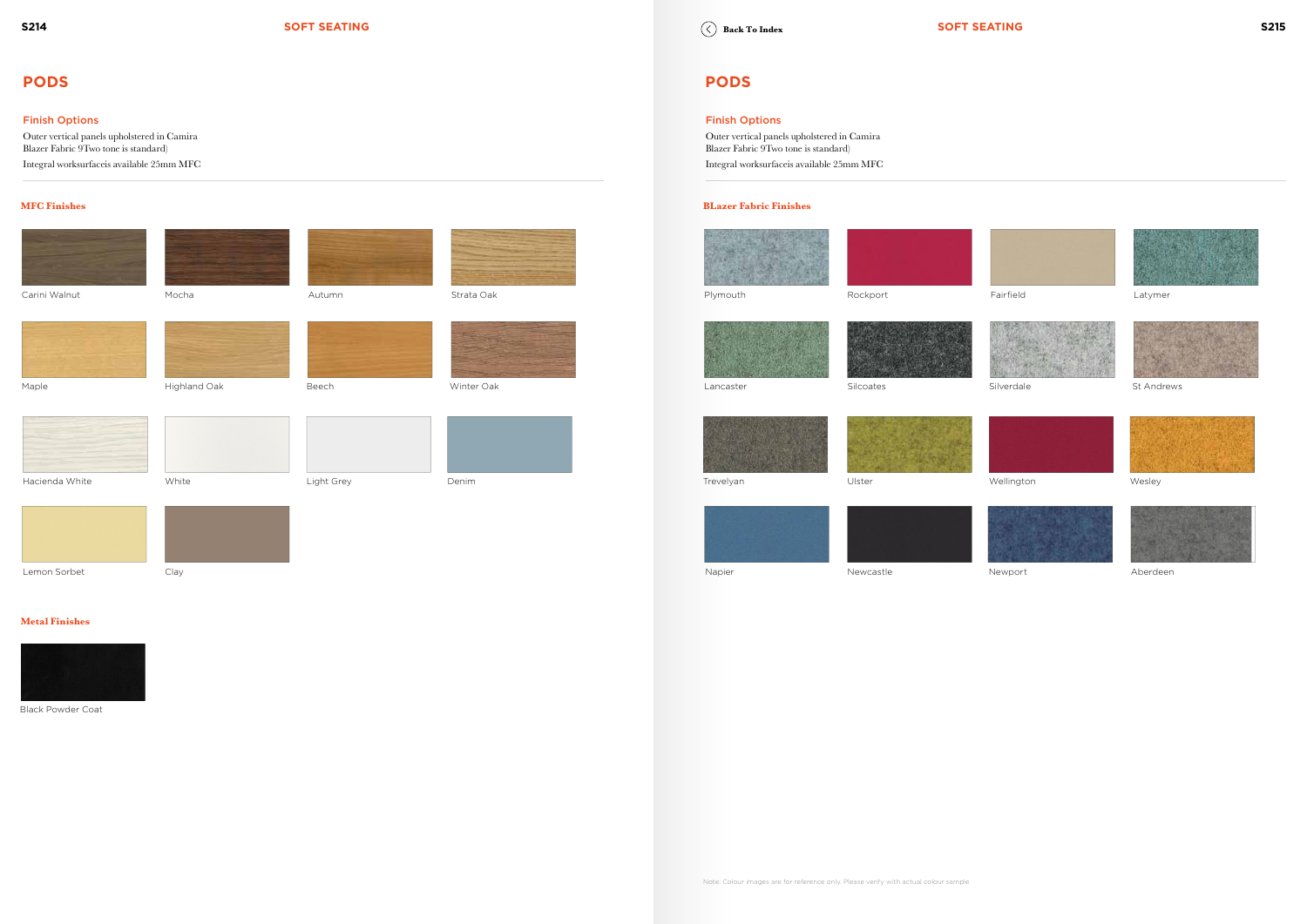### Finish Options

Outer vertical panels upholstered in Camira Blazer Fabric 9Two tone is standard) Integral worksurfaceis available 25mm MFC

# Finish Options

Outer vertical panels upholstered in Camira Blazer Fabric 9Two tone is standard) Integral worksurfaceis available 25mm MFC

# **PODS PODS**

### **MFC Finishes BLazer Fabric Finishes**

















## **Metal Finishes**



Lemon Sorbet Clay Napier Newcastle Newport Aberdeen





















Black Powder Coat

**Back To Index**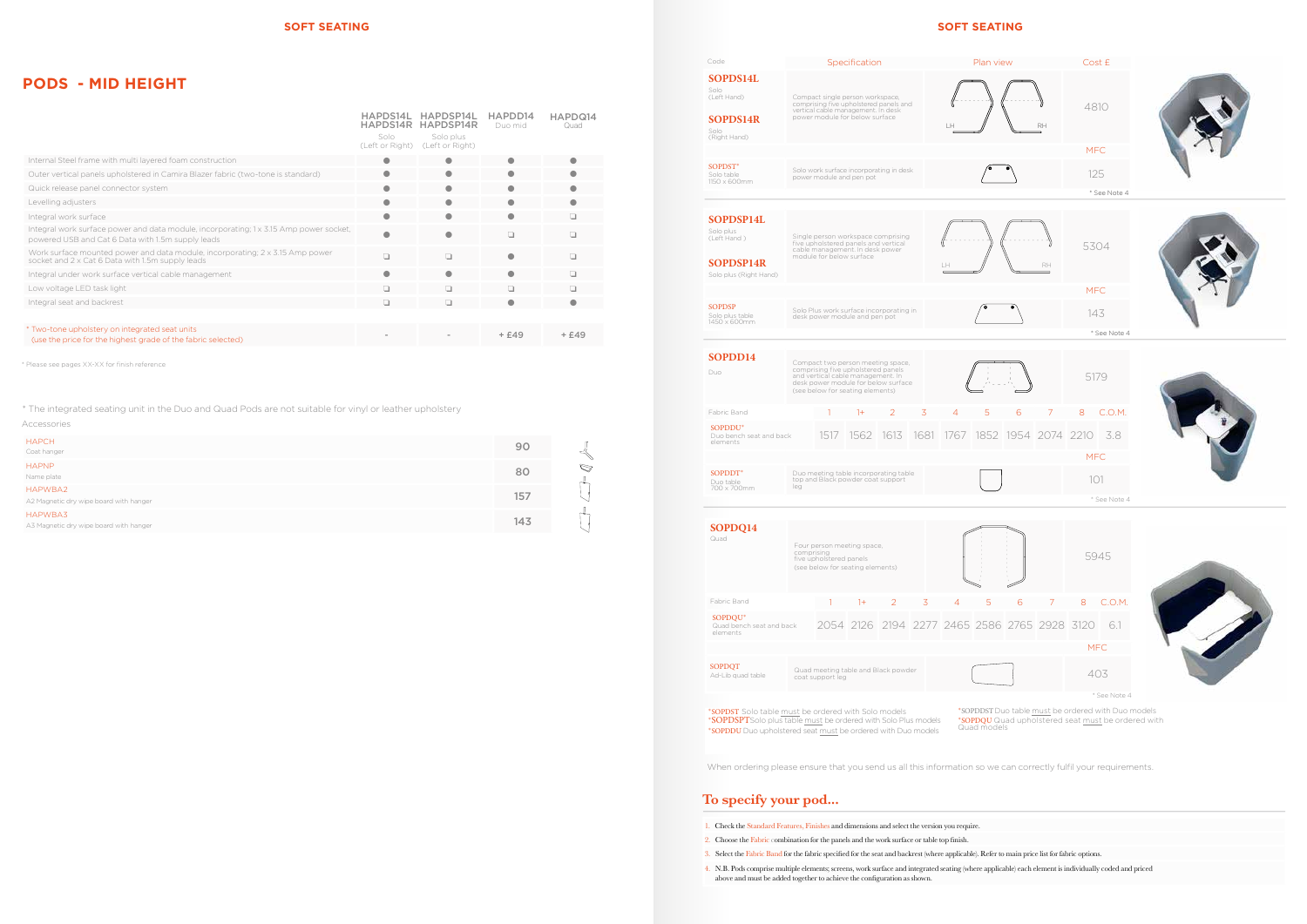# **SOFT SEATING SOFT SEATING**

# **PODS - MID HEIGHT**

\* Please see pages XX-XX for finish reference

| <b>HAPCH</b><br>Coat hanger                       | 90  |               |
|---------------------------------------------------|-----|---------------|
| <b>HAPNP</b><br>Name plate                        | 80  | $\mathcal{D}$ |
| HAPWBA2<br>A2 Magnetic dry wipe board with hanger | 157 | r.            |
| HAPWBA3<br>A3 Magnetic dry wipe board with hanger | 143 | $-$           |

| Accessories |  |
|-------------|--|
|             |  |
|             |  |

|                                                                                                                                             | HAPDS14L<br>Solo<br>(Left or Right) | HAPDSP14L<br>HAPDS14R HAPDSP14R<br>Solo plus<br>(Left or Right) | HAPDD14<br>Duo mid | HAPDQ14<br>Quad |
|---------------------------------------------------------------------------------------------------------------------------------------------|-------------------------------------|-----------------------------------------------------------------|--------------------|-----------------|
| Internal Steel frame with multi layered foam construction                                                                                   |                                     |                                                                 |                    |                 |
| Outer vertical panels upholstered in Camira Blazer fabric (two-tone is standard)                                                            | o                                   | ●                                                               |                    |                 |
| Quick release panel connector system                                                                                                        |                                     |                                                                 |                    |                 |
| Levelling adjusters                                                                                                                         |                                     |                                                                 |                    |                 |
| Integral work surface                                                                                                                       |                                     |                                                                 |                    | ப               |
| Integral work surface power and data module, incorporating; 1 x 3.15 Amp power socket,<br>powered USB and Cat 6 Data with 1.5m supply leads |                                     |                                                                 | n                  | n               |
| Work surface mounted power and data module, incorporating; $2 \times 3.15$ Amp power<br>socket and 2 x Cat 6 Data with 1.5m supply leads    | п                                   | n                                                               |                    | □               |
| Integral under work surface vertical cable management                                                                                       | o                                   |                                                                 |                    | n.              |
| Low voltage LED task light                                                                                                                  | n                                   | ▫                                                               | n                  | n               |
| Integral seat and backrest                                                                                                                  | □                                   | ▫                                                               |                    |                 |
|                                                                                                                                             |                                     |                                                                 |                    |                 |
| * Two-tone upholstery on integrated seat units<br>(use the price for the highest grade of the fabric selected)                              |                                     |                                                                 | $+£49$             | $+£49$          |

\* The integrated seating unit in the Duo and Quad Pods are not suitable for vinyl or leather upholstery

**SOPDD14** Duo Compact two person meeting space, comprising five upholstered panels and vertical cable management. In desk power module for below surface (see below for seating elements) Solo plus<br>(Left Hand ) Solo Plus (Right Hand) Solo plus (Right Hand) Single person workspace comprising<br>five upholstered panels and vertical cable management module for below surface Code Specification **Plan view Cost £ SOPDS14L** Solo (Left Hand) **SOPDS14R** Solo (Right Hand) Compact single person workspace, comprising five upholstered panels and vertical cable management. In desk power module for below surface Fabric Band **1** 1 1 1 1 1 2 3 4 5 6 7 8 C.O.M. SOPDDU\* Duo bench seat and back elements 1517 1562 1613 1681 1767 1852 1954 2074 2210 3.8 SOPDST\* Solo table 1150 x 600mm Solo work surface incorporating in desk Solo work surface incorporating in desk  $\sim$   $\sim$   $\sim$  125 Solo plus table<br>1450 x 600mm  $\frac{3.5}{\text{plus}}$  Solo Plus work surface incorporating in  $\sqrt{2.5}$  .  $143$  $\mbox{SOPDDT}^*$ Duo table 700 x 700mm Duo meeting table incorporating table top and Black powder coat support leg **SOPDSP14L SOPDSP14R** Single person workspace comprising five upholstered panels and vertical cable management. In desk pow SOPDSP **SOPDQ14** Quad Four person meeting space, comprising five upholstered panels (see below for seating elements) Fabric Band **1** 1 1 1 1 1 2 3 4 5 6 7 8 C.O.M. SOPDQU\* Quad bench seat and back elements 2054 2126 2194 2277 2465 2586 2765 2928 3120 6.1 SOPDQT<br>Ad-Lib quad table Ad-Lib quad table Quad meeting table and Black powder coat support leg 403



\*SOPDST Solo table must be ordered with Solo models \*SOPDSPTSolo plus table must be ordered with Solo Plus models \*SOPDDU Duo upholstered seat must be ordered with Duo models \*SOPDQU Quad upholstered seat must be ordered with

Quad models

When ordering please ensure that you send us all this information so we can correctly fulfil your requirements.

# **To specify your pod...**

- 1. Check the Standard Features, Finishes and dimensions and select the version you require.
- 2. Choose the Fabric combination for the panels and the work surface or table top fnish.
- 3. Select the Fabric Band for the fabric specifed for the seat and backrest (where applicable). Refer to main price list for fabric options.
- 4. N.B. Pods comprise multiple elements; screens, work surface and integrated seating (where applicable) each element is individually coded and priced above and must be added together to achieve the confguration as shown.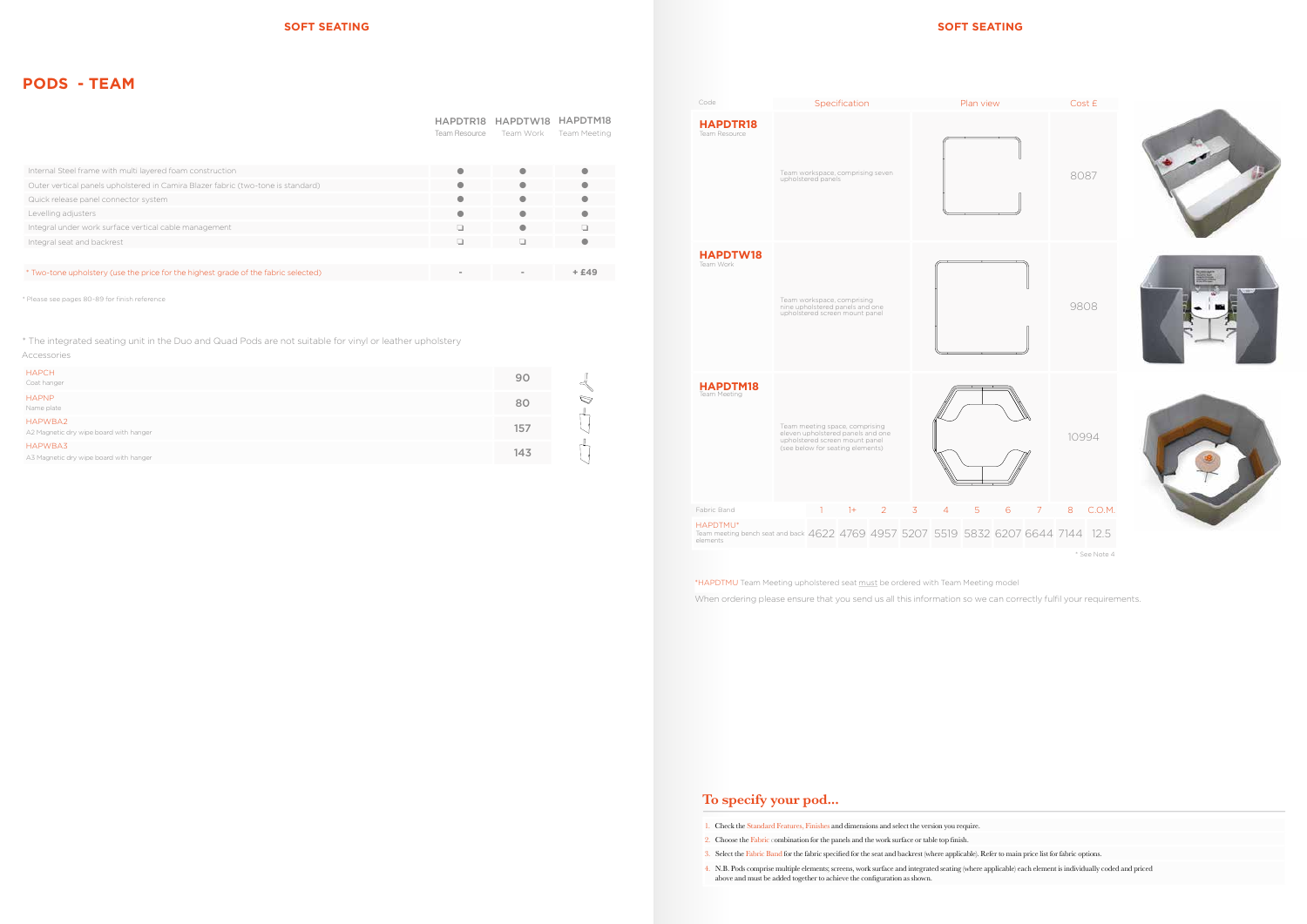# **PODS - TEAM**

\* Please see pages 80-89 for finish reference

# **To specify your pod...**

- 1. Check the Standard Features, Finishes and dimensions and select the version you require.
- 2. Choose the Fabric combination for the panels and the work surface or table top fnish.
- 3. Select the Fabric Band for the fabric specifed for the seat and backrest (where applicable). Refer to main price list for fabric options.
- 4. N.B. Pods comprise multiple elements; screens, work surface and integrated seating (where applicable) each element is individually coded and priced above and must be added together to achieve the confguration as shown.



When ordering please ensure that you send us all this information so we can correctly fulfil your requirements. \*HAPDTMU Team Meeting upholstered seat must be ordered with Team Meeting model

HAPDTR18 HAPDTW18 HAPDTM18

|                                                                                    | Team Resource | Team Work | <b>Team Meeting</b> |
|------------------------------------------------------------------------------------|---------------|-----------|---------------------|
|                                                                                    |               |           |                     |
| Internal Steel frame with multi layered foam construction                          |               |           |                     |
| Outer vertical panels upholstered in Camira Blazer fabric (two-tone is standard)   |               |           |                     |
| Quick release panel connector system                                               | O             | $\bullet$ |                     |
| Levelling adjusters                                                                | a             |           |                     |
| Integral under work surface vertical cable management                              | $\Box$        | $\bullet$ |                     |
| Integral seat and backrest                                                         | n             |           |                     |
|                                                                                    |               |           |                     |
| * Two-tone upholstery (use the price for the highest grade of the fabric selected) |               |           | + £49               |

| <b>HAPCH</b><br>Coat hanger                       | 90  |               |
|---------------------------------------------------|-----|---------------|
| <b>HAPNP</b><br>Name plate                        | 80  | $\mathcal{D}$ |
| HAPWBA2<br>A2 Magnetic dry wipe board with hanger | 157 |               |
| HAPWBA3<br>A3 Magnetic dry wipe board with hanger | 143 |               |

| Accessories |  |
|-------------|--|
|             |  |
|             |  |

\* The integrated seating unit in the Duo and Quad Pods are not suitable for vinyl or leather upholstery